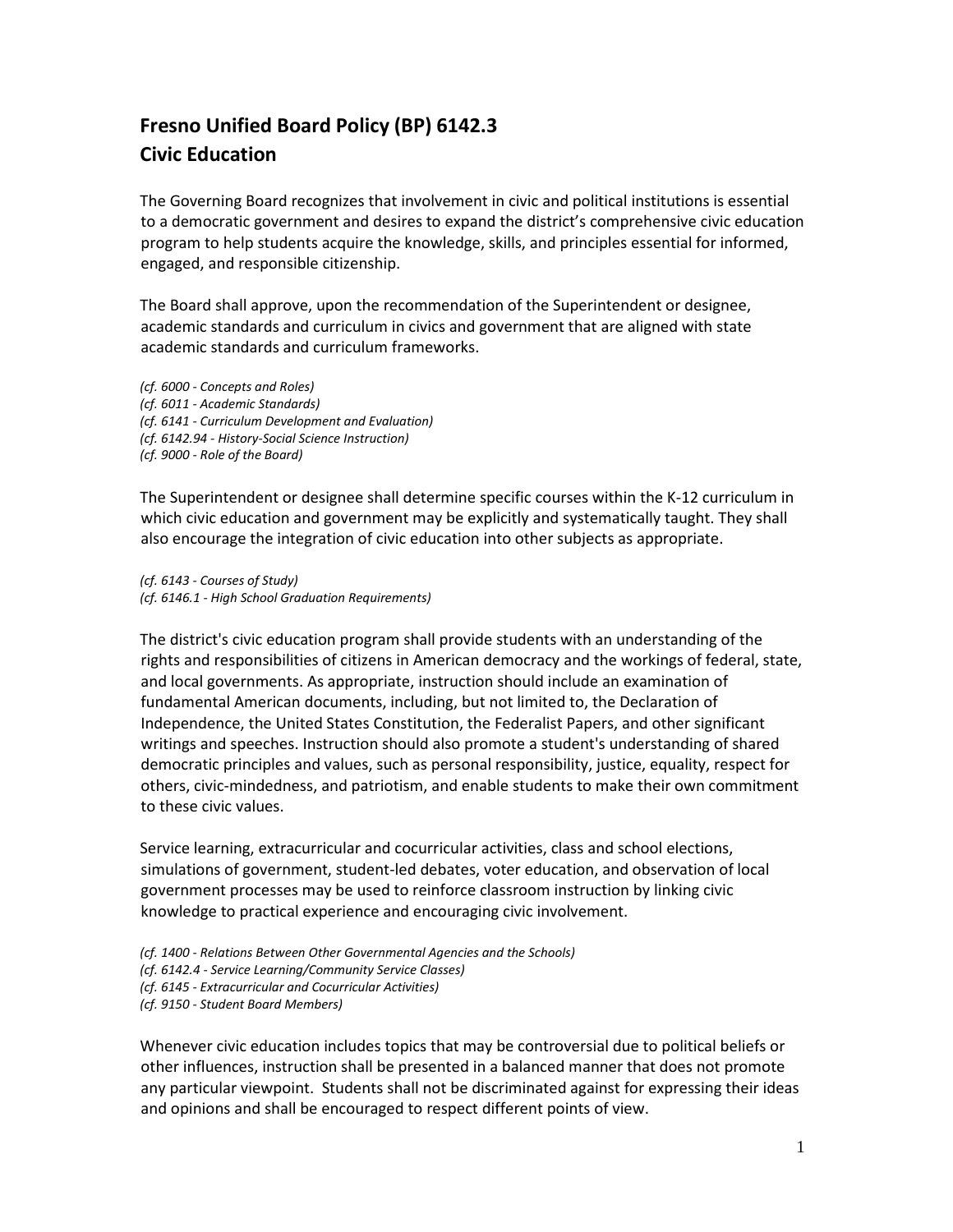## **Fresno Unified Board Policy (BP) 6142.3 Civic Education**

The Governing Board recognizes that involvement in civic and political institutions is essential to a democratic government and desires to expand the district's comprehensive civic education program to help students acquire the knowledge, skills, and principles essential for informed, engaged, and responsible citizenship.

The Board shall approve, upon the recommendation of the Superintendent or designee, academic standards and curriculum in civics and government that are aligned with state academic standards and curriculum frameworks.

*(cf. 6000 - Concepts and Roles) (cf. 6011 - Academic Standards) (cf. 6141 - Curriculum Development and Evaluation) (cf. 6142.94 - History-Social Science Instruction) (cf. 9000 - Role of the Board)*

The Superintendent or designee shall determine specific courses within the K-12 curriculum in which civic education and government may be explicitly and systematically taught. They shall also encourage the integration of civic education into other subjects as appropriate.

*(cf. 6143 - Courses of Study) (cf. 6146.1 - High School Graduation Requirements)*

The district's civic education program shall provide students with an understanding of the rights and responsibilities of citizens in American democracy and the workings of federal, state, and local governments. As appropriate, instruction should include an examination of fundamental American documents, including, but not limited to, the Declaration of Independence, the United States Constitution, the Federalist Papers, and other significant writings and speeches. Instruction should also promote a student's understanding of shared democratic principles and values, such as personal responsibility, justice, equality, respect for others, civic-mindedness, and patriotism, and enable students to make their own commitment to these civic values.

Service learning, extracurricular and cocurricular activities, class and school elections, simulations of government, student-led debates, voter education, and observation of local government processes may be used to reinforce classroom instruction by linking civic knowledge to practical experience and encouraging civic involvement.

- *(cf. 1400 - Relations Between Other Governmental Agencies and the Schools)*
- *(cf. 6142.4 - Service Learning/Community Service Classes)*
- *(cf. 6145 - Extracurricular and Cocurricular Activities)*

*(cf. 9150 - Student Board Members)*

Whenever civic education includes topics that may be controversial due to political beliefs or other influences, instruction shall be presented in a balanced manner that does not promote any particular viewpoint. Students shall not be discriminated against for expressing their ideas and opinions and shall be encouraged to respect different points of view.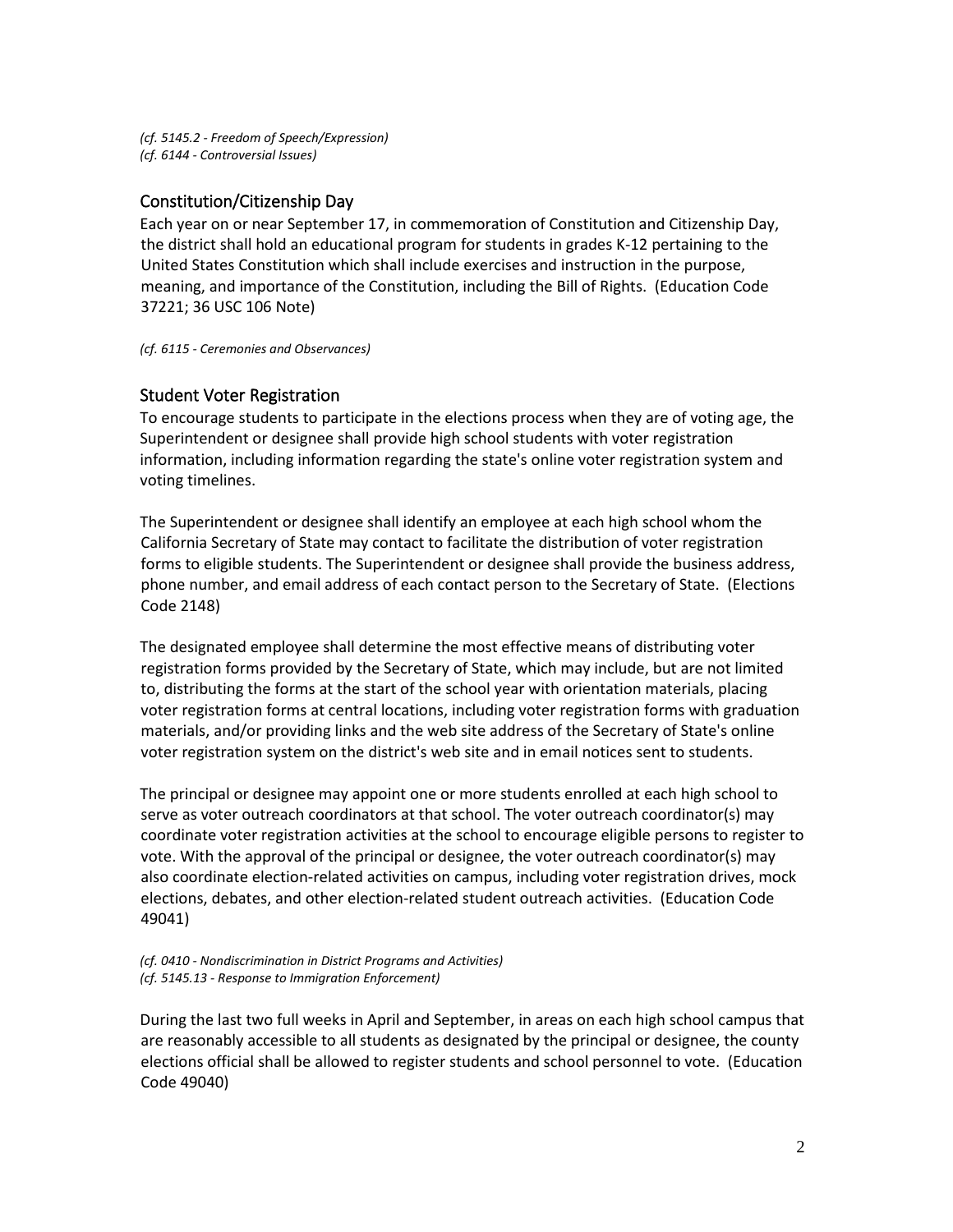*(cf. 5145.2 - Freedom of Speech/Expression) (cf. 6144 - Controversial Issues)*

## Constitution/Citizenship Day

Each year on or near September 17, in commemoration of Constitution and Citizenship Day, the district shall hold an educational program for students in grades K-12 pertaining to the United States Constitution which shall include exercises and instruction in the purpose, meaning, and importance of the Constitution, including the Bill of Rights. (Education Code 37221; 36 USC 106 Note)

*(cf. 6115 - Ceremonies and Observances)*

## Student Voter Registration

To encourage students to participate in the elections process when they are of voting age, the Superintendent or designee shall provide high school students with voter registration information, including information regarding the state's online voter registration system and voting timelines.

The Superintendent or designee shall identify an employee at each high school whom the California Secretary of State may contact to facilitate the distribution of voter registration forms to eligible students. The Superintendent or designee shall provide the business address, phone number, and email address of each contact person to the Secretary of State. (Elections Code 2148)

The designated employee shall determine the most effective means of distributing voter registration forms provided by the Secretary of State, which may include, but are not limited to, distributing the forms at the start of the school year with orientation materials, placing voter registration forms at central locations, including voter registration forms with graduation materials, and/or providing links and the web site address of the Secretary of State's online voter registration system on the district's web site and in email notices sent to students.

The principal or designee may appoint one or more students enrolled at each high school to serve as voter outreach coordinators at that school. The voter outreach coordinator(s) may coordinate voter registration activities at the school to encourage eligible persons to register to vote. With the approval of the principal or designee, the voter outreach coordinator(s) may also coordinate election-related activities on campus, including voter registration drives, mock elections, debates, and other election-related student outreach activities. (Education Code 49041)

## *(cf. 0410 - Nondiscrimination in District Programs and Activities) (cf. 5145.13 - Response to Immigration Enforcement)*

During the last two full weeks in April and September, in areas on each high school campus that are reasonably accessible to all students as designated by the principal or designee, the county elections official shall be allowed to register students and school personnel to vote. (Education Code 49040)